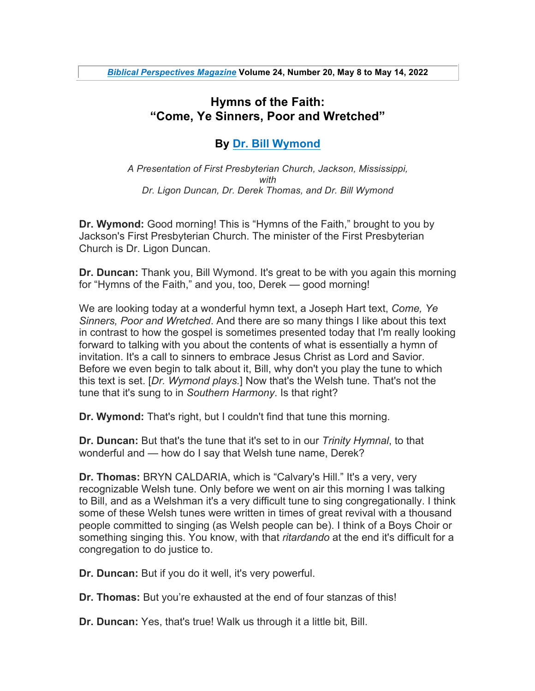## **Hymns of the Faith: "Come, Ye Sinners, Poor and Wretched"**

## **By Dr. Bill Wymond**

*A Presentation of First Presbyterian Church, Jackson, Mississippi, with Dr. Ligon Duncan, Dr. Derek Thomas, and Dr. Bill Wymond*

**Dr. Wymond:** Good morning! This is "Hymns of the Faith," brought to you by Jackson's First Presbyterian Church. The minister of the First Presbyterian Church is Dr. Ligon Duncan.

**Dr. Duncan:** Thank you, Bill Wymond. It's great to be with you again this morning for "Hymns of the Faith," and you, too, Derek — good morning!

We are looking today at a wonderful hymn text, a Joseph Hart text, *Come, Ye Sinners, Poor and Wretched*. And there are so many things I like about this text in contrast to how the gospel is sometimes presented today that I'm really looking forward to talking with you about the contents of what is essentially a hymn of invitation. It's a call to sinners to embrace Jesus Christ as Lord and Savior. Before we even begin to talk about it, Bill, why don't you play the tune to which this text is set. [*Dr. Wymond plays.*] Now that's the Welsh tune. That's not the tune that it's sung to in *Southern Harmony*. Is that right?

**Dr. Wymond:** That's right, but I couldn't find that tune this morning.

**Dr. Duncan:** But that's the tune that it's set to in our *Trinity Hymnal*, to that wonderful and — how do I say that Welsh tune name, Derek?

**Dr. Thomas:** BRYN CALDARIA, which is "Calvary's Hill." It's a very, very recognizable Welsh tune. Only before we went on air this morning I was talking to Bill, and as a Welshman it's a very difficult tune to sing congregationally. I think some of these Welsh tunes were written in times of great revival with a thousand people committed to singing (as Welsh people can be). I think of a Boys Choir or something singing this. You know, with that *ritardando* at the end it's difficult for a congregation to do justice to.

**Dr. Duncan:** But if you do it well, it's very powerful.

**Dr. Thomas:** But you're exhausted at the end of four stanzas of this!

**Dr. Duncan:** Yes, that's true! Walk us through it a little bit, Bill.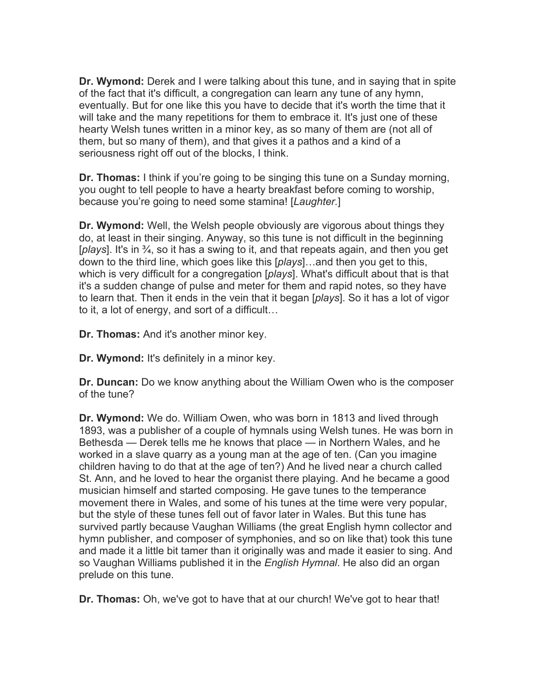**Dr. Wymond:** Derek and I were talking about this tune, and in saying that in spite of the fact that it's difficult, a congregation can learn any tune of any hymn, eventually. But for one like this you have to decide that it's worth the time that it will take and the many repetitions for them to embrace it. It's just one of these hearty Welsh tunes written in a minor key, as so many of them are (not all of them, but so many of them), and that gives it a pathos and a kind of a seriousness right off out of the blocks, I think.

**Dr. Thomas:** I think if you're going to be singing this tune on a Sunday morning, you ought to tell people to have a hearty breakfast before coming to worship, because you're going to need some stamina! [*Laughter.*]

**Dr. Wymond:** Well, the Welsh people obviously are vigorous about things they do, at least in their singing. Anyway, so this tune is not difficult in the beginning [*plays*]. It's in ¾, so it has a swing to it, and that repeats again, and then you get down to the third line, which goes like this [*plays*]…and then you get to this, which is very difficult for a congregation [*plays*]. What's difficult about that is that it's a sudden change of pulse and meter for them and rapid notes, so they have to learn that. Then it ends in the vein that it began [*plays*]. So it has a lot of vigor to it, a lot of energy, and sort of a difficult…

**Dr. Thomas:** And it's another minor key.

**Dr. Wymond:** It's definitely in a minor key.

**Dr. Duncan:** Do we know anything about the William Owen who is the composer of the tune?

**Dr. Wymond:** We do. William Owen, who was born in 1813 and lived through 1893, was a publisher of a couple of hymnals using Welsh tunes. He was born in Bethesda — Derek tells me he knows that place — in Northern Wales, and he worked in a slave quarry as a young man at the age of ten. (Can you imagine children having to do that at the age of ten?) And he lived near a church called St. Ann, and he loved to hear the organist there playing. And he became a good musician himself and started composing. He gave tunes to the temperance movement there in Wales, and some of his tunes at the time were very popular, but the style of these tunes fell out of favor later in Wales. But this tune has survived partly because Vaughan Williams (the great English hymn collector and hymn publisher, and composer of symphonies, and so on like that) took this tune and made it a little bit tamer than it originally was and made it easier to sing. And so Vaughan Williams published it in the *English Hymnal*. He also did an organ prelude on this tune.

**Dr. Thomas:** Oh, we've got to have that at our church! We've got to hear that!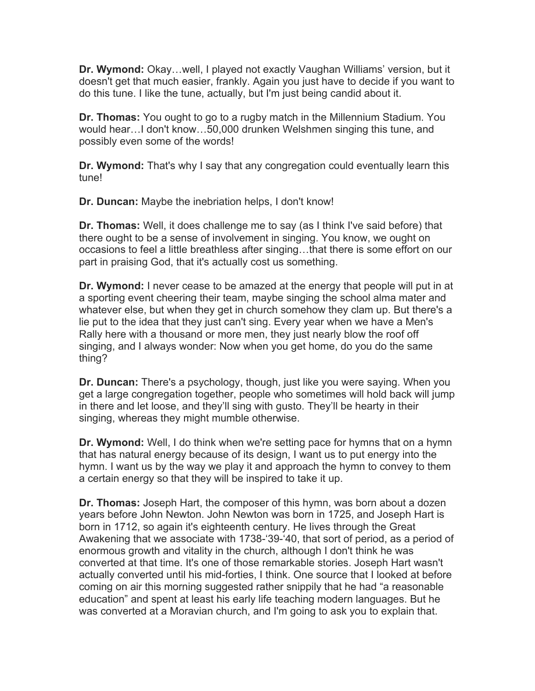**Dr. Wymond:** Okay…well, I played not exactly Vaughan Williams' version, but it doesn't get that much easier, frankly. Again you just have to decide if you want to do this tune. I like the tune, actually, but I'm just being candid about it.

**Dr. Thomas:** You ought to go to a rugby match in the Millennium Stadium. You would hear…I don't know…50,000 drunken Welshmen singing this tune, and possibly even some of the words!

**Dr. Wymond:** That's why I say that any congregation could eventually learn this tune!

**Dr. Duncan:** Maybe the inebriation helps, I don't know!

**Dr. Thomas:** Well, it does challenge me to say (as I think I've said before) that there ought to be a sense of involvement in singing. You know, we ought on occasions to feel a little breathless after singing…that there is some effort on our part in praising God, that it's actually cost us something.

**Dr. Wymond:** I never cease to be amazed at the energy that people will put in at a sporting event cheering their team, maybe singing the school alma mater and whatever else, but when they get in church somehow they clam up. But there's a lie put to the idea that they just can't sing. Every year when we have a Men's Rally here with a thousand or more men, they just nearly blow the roof off singing, and I always wonder: Now when you get home, do you do the same thing?

**Dr. Duncan:** There's a psychology, though, just like you were saying. When you get a large congregation together, people who sometimes will hold back will jump in there and let loose, and they'll sing with gusto. They'll be hearty in their singing, whereas they might mumble otherwise.

**Dr. Wymond:** Well, I do think when we're setting pace for hymns that on a hymn that has natural energy because of its design, I want us to put energy into the hymn. I want us by the way we play it and approach the hymn to convey to them a certain energy so that they will be inspired to take it up.

**Dr. Thomas:** Joseph Hart, the composer of this hymn, was born about a dozen years before John Newton. John Newton was born in 1725, and Joseph Hart is born in 1712, so again it's eighteenth century. He lives through the Great Awakening that we associate with 1738-'39-'40, that sort of period, as a period of enormous growth and vitality in the church, although I don't think he was converted at that time. It's one of those remarkable stories. Joseph Hart wasn't actually converted until his mid-forties, I think. One source that I looked at before coming on air this morning suggested rather snippily that he had "a reasonable education" and spent at least his early life teaching modern languages. But he was converted at a Moravian church, and I'm going to ask you to explain that.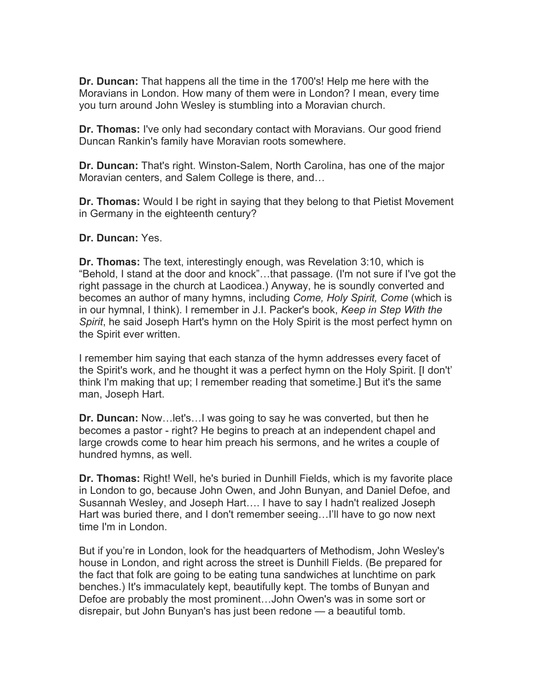**Dr. Duncan:** That happens all the time in the 1700's! Help me here with the Moravians in London. How many of them were in London? I mean, every time you turn around John Wesley is stumbling into a Moravian church.

**Dr. Thomas:** I've only had secondary contact with Moravians. Our good friend Duncan Rankin's family have Moravian roots somewhere.

**Dr. Duncan:** That's right. Winston-Salem, North Carolina, has one of the major Moravian centers, and Salem College is there, and…

**Dr. Thomas:** Would I be right in saying that they belong to that Pietist Movement in Germany in the eighteenth century?

**Dr. Duncan:** Yes.

**Dr. Thomas:** The text, interestingly enough, was Revelation 3:10, which is "Behold, I stand at the door and knock"…that passage. (I'm not sure if I've got the right passage in the church at Laodicea.) Anyway, he is soundly converted and becomes an author of many hymns, including *Come, Holy Spirit, Come* (which is in our hymnal, I think). I remember in J.I. Packer's book, *Keep in Step With the Spirit*, he said Joseph Hart's hymn on the Holy Spirit is the most perfect hymn on the Spirit ever written.

I remember him saying that each stanza of the hymn addresses every facet of the Spirit's work, and he thought it was a perfect hymn on the Holy Spirit. [I don't' think I'm making that up; I remember reading that sometime.] But it's the same man, Joseph Hart.

**Dr. Duncan:** Now…let's…I was going to say he was converted, but then he becomes a pastor - right? He begins to preach at an independent chapel and large crowds come to hear him preach his sermons, and he writes a couple of hundred hymns, as well.

**Dr. Thomas:** Right! Well, he's buried in Dunhill Fields, which is my favorite place in London to go, because John Owen, and John Bunyan, and Daniel Defoe, and Susannah Wesley, and Joseph Hart…. I have to say I hadn't realized Joseph Hart was buried there, and I don't remember seeing…I'll have to go now next time I'm in London.

But if you're in London, look for the headquarters of Methodism, John Wesley's house in London, and right across the street is Dunhill Fields. (Be prepared for the fact that folk are going to be eating tuna sandwiches at lunchtime on park benches.) It's immaculately kept, beautifully kept. The tombs of Bunyan and Defoe are probably the most prominent…John Owen's was in some sort or disrepair, but John Bunyan's has just been redone — a beautiful tomb.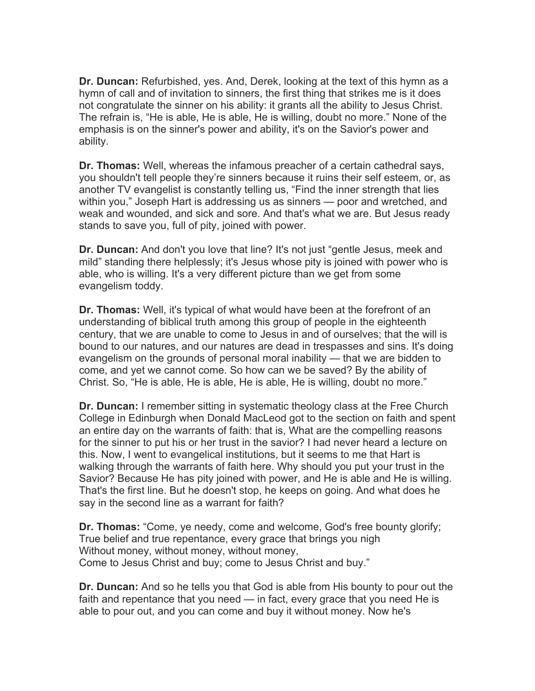**Dr. Duncan:** Refurbished, yes. And, Derek, looking at the text of this hymn as a hymn of call and of invitation to sinners, the first thing that strikes me is it does not congratulate the sinner on his ability: it grants all the ability to Jesus Christ. The refrain is, "He is able, He is able, He is willing, doubt no more." None of the emphasis is on the sinner's power and ability, it's on the Savior's power and ability.

**Dr. Thomas:** Well, whereas the infamous preacher of a certain cathedral says, you shouldn't tell people they're sinners because it ruins their self esteem, or, as another TV evangelist is constantly telling us, "Find the inner strength that lies within you," Joseph Hart is addressing us as sinners — poor and wretched, and weak and wounded, and sick and sore. And that's what we are. But Jesus ready stands to save you, full of pity, joined with power.

**Dr. Duncan:** And don't you love that line? It's not just "gentle Jesus, meek and mild" standing there helplessly; it's Jesus whose pity is joined with power who is able, who is willing. It's a very different picture than we get from some evangelism toddy.

**Dr. Thomas:** Well, it's typical of what would have been at the forefront of an understanding of biblical truth among this group of people in the eighteenth century, that we are unable to come to Jesus in and of ourselves; that the will is bound to our natures, and our natures are dead in trespasses and sins. It's doing evangelism on the grounds of personal moral inability — that we are bidden to come, and yet we cannot come. So how can we be saved? By the ability of Christ. So, "He is able, He is able, He is able, He is willing, doubt no more."

**Dr. Duncan:** I remember sitting in systematic theology class at the Free Church College in Edinburgh when Donald MacLeod got to the section on faith and spent an entire day on the warrants of faith: that is, What are the compelling reasons for the sinner to put his or her trust in the savior? I had never heard a lecture on this. Now, I went to evangelical institutions, but it seems to me that Hart is walking through the warrants of faith here. Why should you put your trust in the Savior? Because He has pity joined with power, and He is able and He is willing. That's the first line. But he doesn't stop, he keeps on going. And what does he say in the second line as a warrant for faith?

**Dr. Thomas:** "Come, ye needy, come and welcome, God's free bounty glorify; True belief and true repentance, every grace that brings you nigh Without money, without money, without money, Come to Jesus Christ and buy; come to Jesus Christ and buy."

**Dr. Duncan:** And so he tells you that God is able from His bounty to pour out the faith and repentance that you need — in fact, every grace that you need He is able to pour out, and you can come and buy it without money. Now he's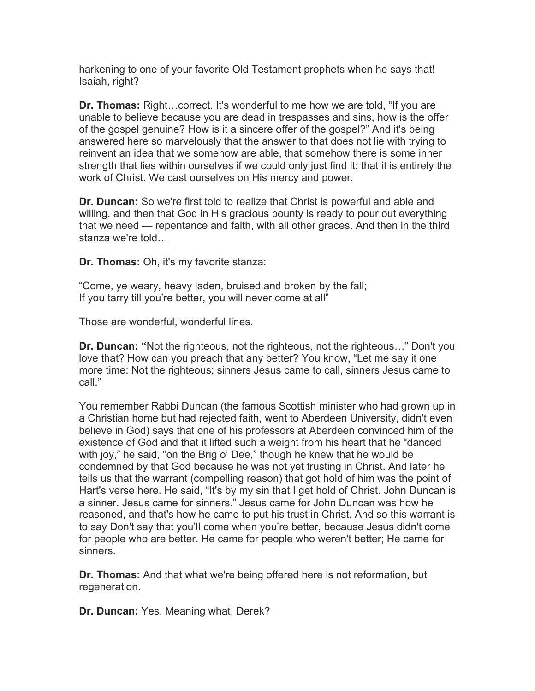harkening to one of your favorite Old Testament prophets when he says that! Isaiah, right?

**Dr. Thomas:** Right…correct. It's wonderful to me how we are told, "If you are unable to believe because you are dead in trespasses and sins, how is the offer of the gospel genuine? How is it a sincere offer of the gospel?" And it's being answered here so marvelously that the answer to that does not lie with trying to reinvent an idea that we somehow are able, that somehow there is some inner strength that lies within ourselves if we could only just find it; that it is entirely the work of Christ. We cast ourselves on His mercy and power.

**Dr. Duncan:** So we're first told to realize that Christ is powerful and able and willing, and then that God in His gracious bounty is ready to pour out everything that we need — repentance and faith, with all other graces. And then in the third stanza we're told…

**Dr. Thomas:** Oh, it's my favorite stanza:

"Come, ye weary, heavy laden, bruised and broken by the fall; If you tarry till you're better, you will never come at all"

Those are wonderful, wonderful lines.

**Dr. Duncan: "**Not the righteous, not the righteous, not the righteous…" Don't you love that? How can you preach that any better? You know, "Let me say it one more time: Not the righteous; sinners Jesus came to call, sinners Jesus came to call."

You remember Rabbi Duncan (the famous Scottish minister who had grown up in a Christian home but had rejected faith, went to Aberdeen University, didn't even believe in God) says that one of his professors at Aberdeen convinced him of the existence of God and that it lifted such a weight from his heart that he "danced with joy," he said, "on the Brig o' Dee," though he knew that he would be condemned by that God because he was not yet trusting in Christ. And later he tells us that the warrant (compelling reason) that got hold of him was the point of Hart's verse here. He said, "It's by my sin that I get hold of Christ. John Duncan is a sinner. Jesus came for sinners." Jesus came for John Duncan was how he reasoned, and that's how he came to put his trust in Christ. And so this warrant is to say Don't say that you'll come when you're better, because Jesus didn't come for people who are better. He came for people who weren't better; He came for sinners.

**Dr. Thomas:** And that what we're being offered here is not reformation, but regeneration.

**Dr. Duncan:** Yes. Meaning what, Derek?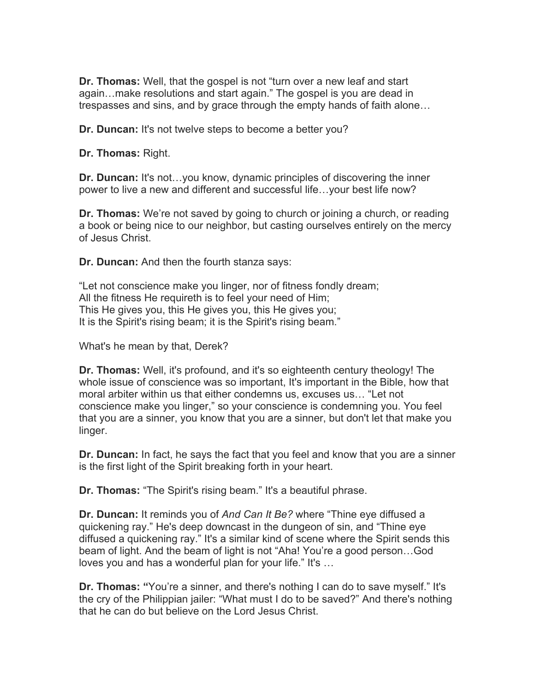**Dr. Thomas:** Well, that the gospel is not "turn over a new leaf and start again…make resolutions and start again." The gospel is you are dead in trespasses and sins, and by grace through the empty hands of faith alone…

**Dr. Duncan:** It's not twelve steps to become a better you?

**Dr. Thomas:** Right.

**Dr. Duncan:** It's not…you know, dynamic principles of discovering the inner power to live a new and different and successful life…your best life now?

**Dr. Thomas:** We're not saved by going to church or joining a church, or reading a book or being nice to our neighbor, but casting ourselves entirely on the mercy of Jesus Christ.

**Dr. Duncan:** And then the fourth stanza says:

"Let not conscience make you linger, nor of fitness fondly dream; All the fitness He requireth is to feel your need of Him; This He gives you, this He gives you, this He gives you; It is the Spirit's rising beam; it is the Spirit's rising beam."

What's he mean by that, Derek?

**Dr. Thomas:** Well, it's profound, and it's so eighteenth century theology! The whole issue of conscience was so important, It's important in the Bible, how that moral arbiter within us that either condemns us, excuses us… "Let not conscience make you linger," so your conscience is condemning you. You feel that you are a sinner, you know that you are a sinner, but don't let that make you linger.

**Dr. Duncan:** In fact, he says the fact that you feel and know that you are a sinner is the first light of the Spirit breaking forth in your heart.

**Dr. Thomas:** "The Spirit's rising beam." It's a beautiful phrase.

**Dr. Duncan:** It reminds you of *And Can It Be?* where "Thine eye diffused a quickening ray." He's deep downcast in the dungeon of sin, and "Thine eye diffused a quickening ray." It's a similar kind of scene where the Spirit sends this beam of light. And the beam of light is not "Aha! You're a good person…God loves you and has a wonderful plan for your life." It's …

**Dr. Thomas: "**You're a sinner, and there's nothing I can do to save myself." It's the cry of the Philippian jailer: "What must I do to be saved?" And there's nothing that he can do but believe on the Lord Jesus Christ.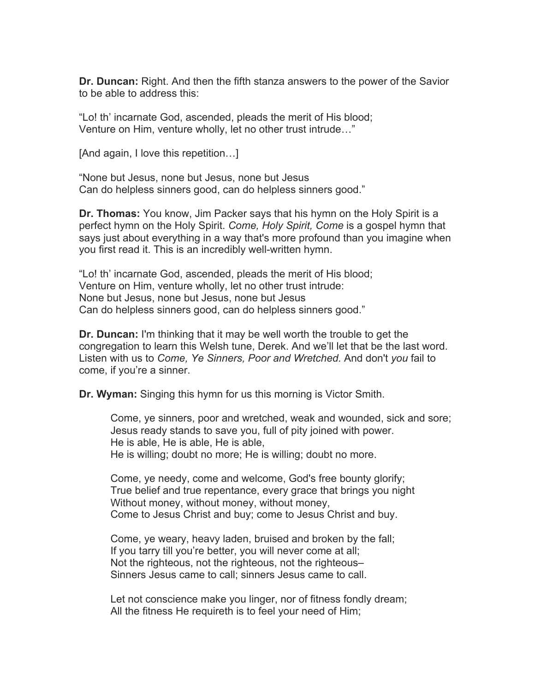**Dr. Duncan:** Right. And then the fifth stanza answers to the power of the Savior to be able to address this:

"Lo! th' incarnate God, ascended, pleads the merit of His blood; Venture on Him, venture wholly, let no other trust intrude…"

[And again, I love this repetition…]

"None but Jesus, none but Jesus, none but Jesus Can do helpless sinners good, can do helpless sinners good."

**Dr. Thomas:** You know, Jim Packer says that his hymn on the Holy Spirit is a perfect hymn on the Holy Spirit. *Come, Holy Spirit, Come* is a gospel hymn that says just about everything in a way that's more profound than you imagine when you first read it. This is an incredibly well-written hymn.

"Lo! th' incarnate God, ascended, pleads the merit of His blood; Venture on Him, venture wholly, let no other trust intrude: None but Jesus, none but Jesus, none but Jesus Can do helpless sinners good, can do helpless sinners good."

**Dr. Duncan:** I'm thinking that it may be well worth the trouble to get the congregation to learn this Welsh tune, Derek. And we'll let that be the last word. Listen with us to *Come, Ye Sinners, Poor and Wretched.* And don't *you* fail to come, if you're a sinner.

**Dr. Wyman:** Singing this hymn for us this morning is Victor Smith.

Come, ye sinners, poor and wretched, weak and wounded, sick and sore; Jesus ready stands to save you, full of pity joined with power. He is able, He is able, He is able, He is willing; doubt no more; He is willing; doubt no more.

Come, ye needy, come and welcome, God's free bounty glorify; True belief and true repentance, every grace that brings you night Without money, without money, without money, Come to Jesus Christ and buy; come to Jesus Christ and buy.

Come, ye weary, heavy laden, bruised and broken by the fall; If you tarry till you're better, you will never come at all; Not the righteous, not the righteous, not the righteous– Sinners Jesus came to call; sinners Jesus came to call.

Let not conscience make you linger, nor of fitness fondly dream; All the fitness He requireth is to feel your need of Him;